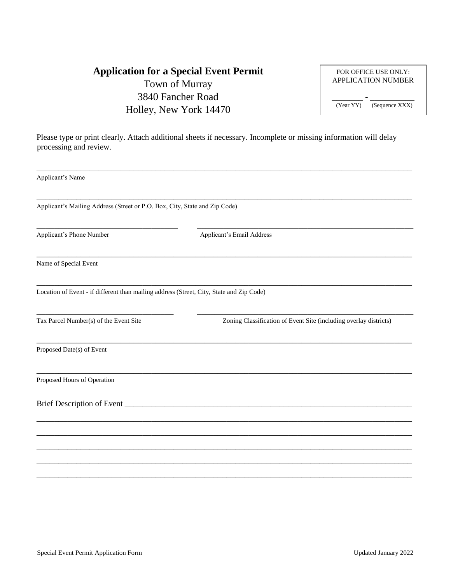### **Application for a Special Event Permit** Town of Murray 3840 Fancher Road Holley, New York 14470

|                             | FOR OFFICE USE ONLY:<br><b>APPLICATION NUMBER</b> |  |  |  |
|-----------------------------|---------------------------------------------------|--|--|--|
| (Sequence XXX)<br>(Year YY) |                                                   |  |  |  |

Please type or print clearly. Attach additional sheets if necessary. Incomplete or missing information will delay processing and review.

| Applicant's Name                                                                         |                                                                   |  |  |
|------------------------------------------------------------------------------------------|-------------------------------------------------------------------|--|--|
| Applicant's Mailing Address (Street or P.O. Box, City, State and Zip Code)               |                                                                   |  |  |
| Applicant's Phone Number                                                                 | Applicant's Email Address                                         |  |  |
| Name of Special Event                                                                    |                                                                   |  |  |
| Location of Event - if different than mailing address (Street, City, State and Zip Code) |                                                                   |  |  |
| Tax Parcel Number(s) of the Event Site                                                   | Zoning Classification of Event Site (including overlay districts) |  |  |
| Proposed Date(s) of Event                                                                |                                                                   |  |  |
| Proposed Hours of Operation                                                              |                                                                   |  |  |
|                                                                                          |                                                                   |  |  |
|                                                                                          |                                                                   |  |  |
|                                                                                          |                                                                   |  |  |
|                                                                                          |                                                                   |  |  |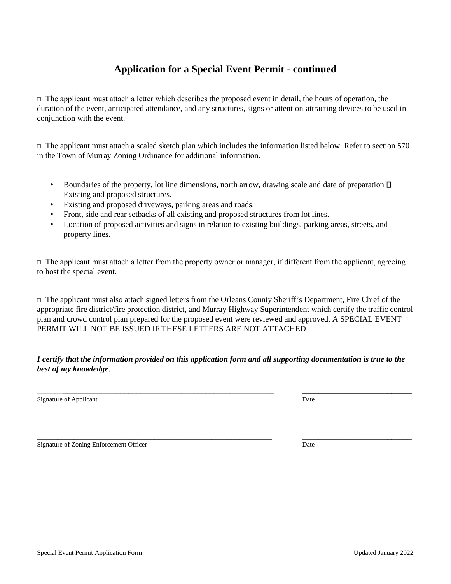#### **Application for a Special Event Permit - continued**

 $\Box$  The applicant must attach a letter which describes the proposed event in detail, the hours of operation, the duration of the event, anticipated attendance, and any structures, signs or attention-attracting devices to be used in conjunction with the event.

 $\Box$  The applicant must attach a scaled sketch plan which includes the information listed below. Refer to section 570 in the Town of Murray Zoning Ordinance for additional information.

- Boundaries of the property, lot line dimensions, north arrow, drawing scale and date of preparation  $\Box$ Existing and proposed structures.
- Existing and proposed driveways, parking areas and roads.
- Front, side and rear setbacks of all existing and proposed structures from lot lines.
- Location of proposed activities and signs in relation to existing buildings, parking areas, streets, and property lines.

 $\Box$  The applicant must attach a letter from the property owner or manager, if different from the applicant, agreeing to host the special event.

 $\Box$  The applicant must also attach signed letters from the Orleans County Sheriff's Department, Fire Chief of the appropriate fire district/fire protection district, and Murray Highway Superintendent which certify the traffic control plan and crowd control plan prepared for the proposed event were reviewed and approved. A SPECIAL EVENT PERMIT WILL NOT BE ISSUED IF THESE LETTERS ARE NOT ATTACHED.

#### *I certify that the information provided on this application form and all supporting documentation is true to the best of my knowledge*.

\_\_\_\_\_\_\_\_\_\_\_\_\_\_\_\_\_\_\_\_\_\_\_\_\_\_\_\_\_\_\_\_\_\_\_\_\_\_\_\_\_\_\_\_\_\_\_\_\_\_\_\_\_\_\_\_\_\_ \_\_\_\_\_\_\_\_\_\_\_\_\_\_\_\_\_\_\_\_\_\_\_\_\_\_\_

Signature of Applicant Date

Signature of Zoning Enforcement Officer Date Date Date Date

\_\_\_\_\_\_\_\_\_\_\_\_\_\_\_\_\_\_\_\_\_\_\_\_\_\_\_\_\_\_\_\_\_\_\_\_\_\_\_\_\_\_\_\_\_\_\_\_\_\_\_\_\_\_\_\_\_\_ \_\_\_\_\_\_\_\_\_\_\_\_\_\_\_\_\_\_\_\_\_\_\_\_\_\_\_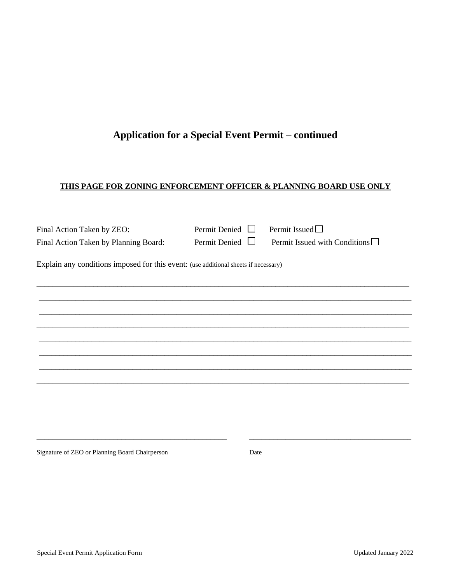## **Application for a Special Event Permit – continued**

#### **THIS PAGE FOR ZONING ENFORCEMENT OFFICER & PLANNING BOARD USE ONLY**

| Final Action Taken by ZEO:                                                          | Permit Denied $\Box$ | Permit Issued $\Box$                 |
|-------------------------------------------------------------------------------------|----------------------|--------------------------------------|
| Final Action Taken by Planning Board:                                               | Permit Denied $\Box$ | Permit Issued with Conditions $\Box$ |
| Explain any conditions imposed for this event: (use additional sheets if necessary) |                      |                                      |
|                                                                                     |                      |                                      |
|                                                                                     |                      |                                      |
|                                                                                     |                      |                                      |
|                                                                                     |                      |                                      |
|                                                                                     |                      |                                      |
|                                                                                     |                      |                                      |
|                                                                                     |                      |                                      |
|                                                                                     |                      |                                      |
|                                                                                     |                      |                                      |

\_\_\_\_\_\_\_\_\_\_\_\_\_\_\_\_\_\_\_\_\_\_\_\_\_\_\_\_\_\_\_\_\_\_\_\_\_\_\_\_\_\_\_\_\_\_\_ \_\_\_\_\_\_\_\_\_\_\_\_\_\_\_\_\_\_\_\_\_\_\_\_\_\_\_\_\_\_\_\_\_\_\_\_\_\_\_\_

Signature of ZEO or Planning Board Chairperson Date